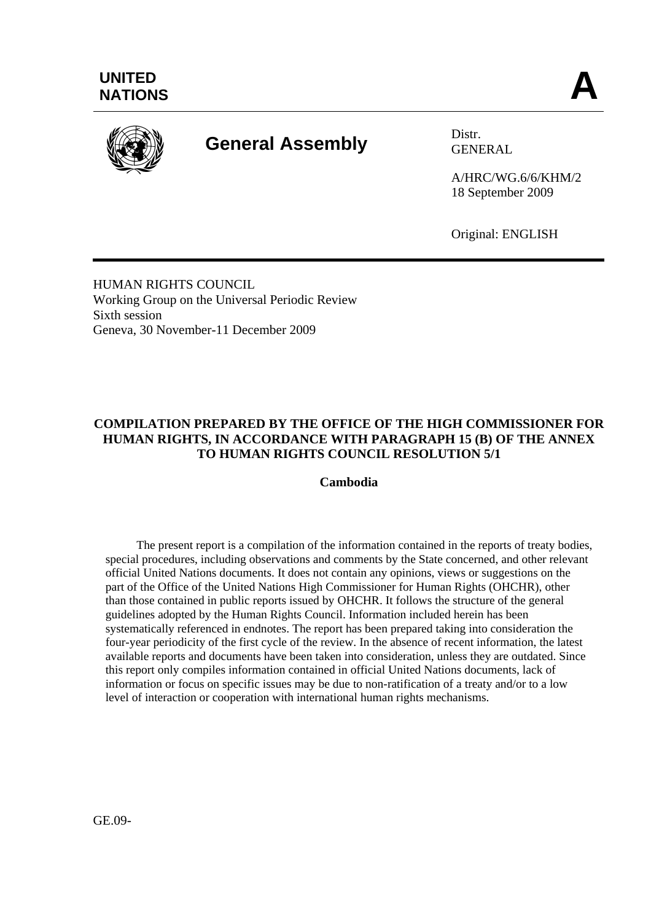

# **General Assembly** Distr.

GENERAL

A/HRC/WG.6/6/KHM/2 18 September 2009

Original: ENGLISH

HUMAN RIGHTS COUNCIL Working Group on the Universal Periodic Review Sixth session Geneva, 30 November-11 December 2009

# **COMPILATION PREPARED BY THE OFFICE OF THE HIGH COMMISSIONER FOR HUMAN RIGHTS, IN ACCORDANCE WITH PARAGRAPH 15 (B) OF THE ANNEX TO HUMAN RIGHTS COUNCIL RESOLUTION 5/1**

### **Cambodia**

 The present report is a compilation of the information contained in the reports of treaty bodies, special procedures, including observations and comments by the State concerned, and other relevant official United Nations documents. It does not contain any opinions, views or suggestions on the part of the Office of the United Nations High Commissioner for Human Rights (OHCHR), other than those contained in public reports issued by OHCHR. It follows the structure of the general guidelines adopted by the Human Rights Council. Information included herein has been systematically referenced in endnotes. The report has been prepared taking into consideration the four-year periodicity of the first cycle of the review. In the absence of recent information, the latest available reports and documents have been taken into consideration, unless they are outdated. Since this report only compiles information contained in official United Nations documents, lack of information or focus on specific issues may be due to non-ratification of a treaty and/or to a low level of interaction or cooperation with international human rights mechanisms.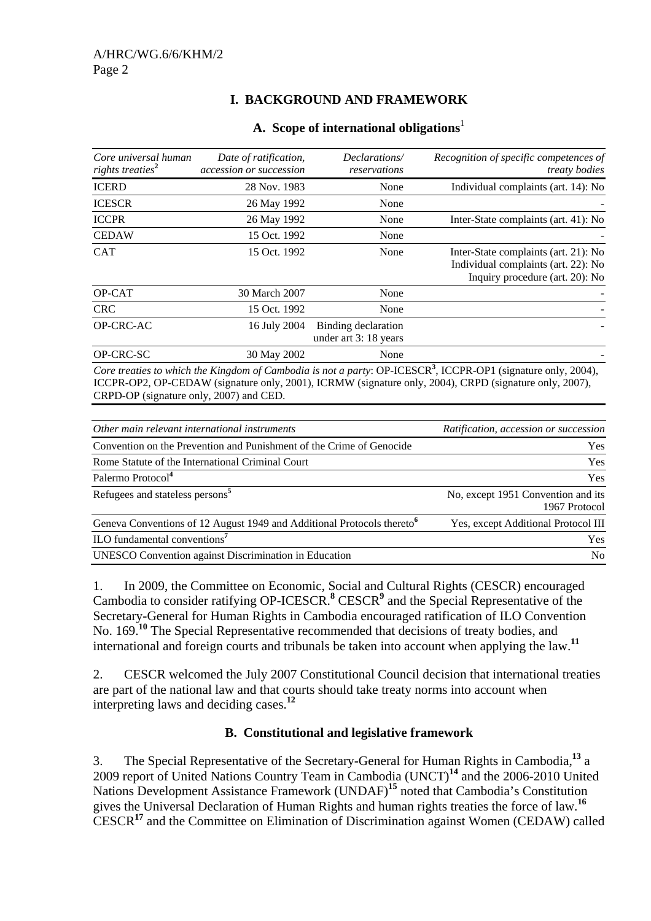# **I. BACKGROUND AND FRAMEWORK**

| Core universal human<br>rights treaties <sup>2</sup> | Date of ratification,<br>accession or succession | Declarations/<br>reservations               | Recognition of specific competences of<br><i>treaty bodies</i>                                                 |
|------------------------------------------------------|--------------------------------------------------|---------------------------------------------|----------------------------------------------------------------------------------------------------------------|
| <b>ICERD</b>                                         | 28 Nov. 1983                                     | None                                        | Individual complaints (art. 14): No                                                                            |
| <b>ICESCR</b>                                        | 26 May 1992                                      | None                                        |                                                                                                                |
| <b>ICCPR</b>                                         | 26 May 1992                                      | None                                        | Inter-State complaints (art. 41): No                                                                           |
| <b>CEDAW</b>                                         | 15 Oct. 1992                                     | None                                        |                                                                                                                |
| <b>CAT</b>                                           | 15 Oct. 1992                                     | None                                        | Inter-State complaints (art. 21): No<br>Individual complaints (art. 22): No<br>Inquiry procedure (art. 20): No |
| OP-CAT                                               | 30 March 2007                                    | None                                        |                                                                                                                |
| <b>CRC</b>                                           | 15 Oct. 1992                                     | None                                        |                                                                                                                |
| OP-CRC-AC                                            | 16 July 2004                                     | Binding declaration<br>under art 3:18 years |                                                                                                                |
| OP-CRC-SC                                            | 30 May 2002                                      | None                                        |                                                                                                                |

### **A. Scope of international obligations**<sup>1</sup>

, ICCPR-OP1 (signature only, 2004), ICCPR-OP2, OP-CEDAW (signature only, 2001), ICRMW (signature only, 2004), CRPD (signature only, 2007), CRPD-OP (signature only, 2007) and CED.

| Other main relevant international instruments                                      | Ratification, accession or succession               |
|------------------------------------------------------------------------------------|-----------------------------------------------------|
| Convention on the Prevention and Punishment of the Crime of Genocide               | <b>Yes</b>                                          |
| Rome Statute of the International Criminal Court                                   | <b>Yes</b>                                          |
| Palermo Protocol <sup>4</sup>                                                      | <b>Yes</b>                                          |
| Refugees and stateless persons <sup>5</sup>                                        | No, except 1951 Convention and its<br>1967 Protocol |
| Geneva Conventions of 12 August 1949 and Additional Protocols thereto <sup>6</sup> | Yes, except Additional Protocol III                 |
| ILO fundamental conventions <sup>7</sup>                                           | <b>Yes</b>                                          |
| <b>UNESCO</b> Convention against Discrimination in Education                       | N <sub>0</sub>                                      |

1. In 2009, the Committee on Economic, Social and Cultural Rights (CESCR) encouraged Cambodia to consider ratifying OP-ICESCR.<sup>8</sup> CESCR<sup>9</sup> and the Special Representative of the Secretary-General for Human Rights in Cambodia encouraged ratification of ILO Convention No. 169.**<sup>10</sup>** The Special Representative recommended that decisions of treaty bodies, and international and foreign courts and tribunals be taken into account when applying the law.**<sup>11</sup>**

2. CESCR welcomed the July 2007 Constitutional Council decision that international treaties are part of the national law and that courts should take treaty norms into account when interpreting laws and deciding cases.**<sup>12</sup>**

# **B. Constitutional and legislative framework**

3. The Special Representative of the Secretary-General for Human Rights in Cambodia,**<sup>13</sup>** a 2009 report of United Nations Country Team in Cambodia (UNCT)**<sup>14</sup>** and the 2006-2010 United Nations Development Assistance Framework (UNDAF)**<sup>15</sup>** noted that Cambodia's Constitution gives the Universal Declaration of Human Rights and human rights treaties the force of law.**<sup>16</sup>** CESCR**<sup>17</sup>** and the Committee on Elimination of Discrimination against Women (CEDAW) called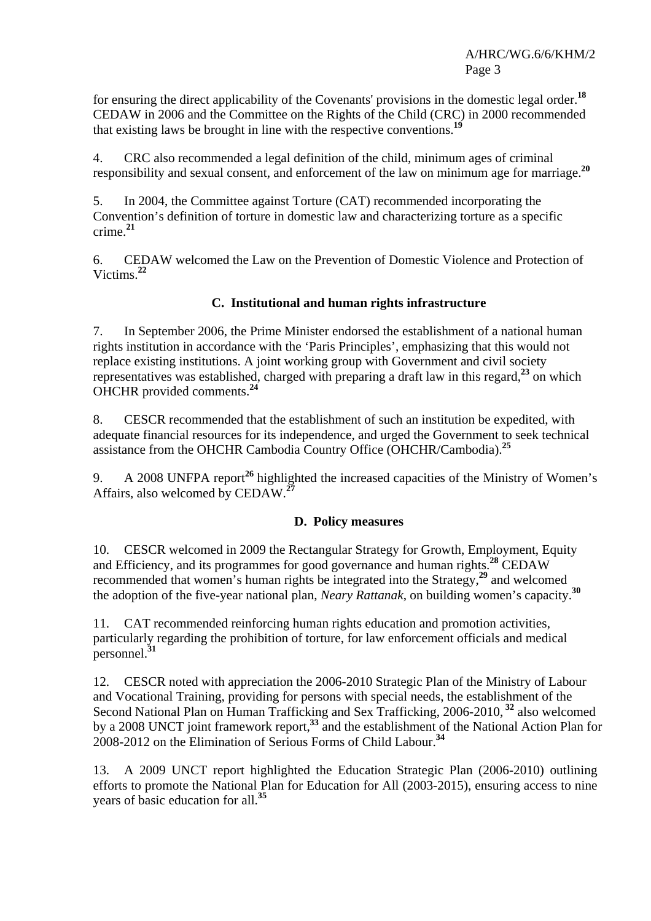for ensuring the direct applicability of the Covenants' provisions in the domestic legal order.**<sup>18</sup>** CEDAW in 2006 and the Committee on the Rights of the Child (CRC) in 2000 recommended that existing laws be brought in line with the respective conventions.**<sup>19</sup>**

4. CRC also recommended a legal definition of the child, minimum ages of criminal responsibility and sexual consent, and enforcement of the law on minimum age for marriage.**<sup>20</sup>**

5. In 2004, the Committee against Torture (CAT) recommended incorporating the Convention's definition of torture in domestic law and characterizing torture as a specific crime.**<sup>21</sup>**

6. CEDAW welcomed the Law on the Prevention of Domestic Violence and Protection of Victims.**<sup>22</sup>**

# **C. Institutional and human rights infrastructure**

7. In September 2006, the Prime Minister endorsed the establishment of a national human rights institution in accordance with the 'Paris Principles', emphasizing that this would not replace existing institutions. A joint working group with Government and civil society representatives was established, charged with preparing a draft law in this regard,**<sup>23</sup>** on which OHCHR provided comments.**<sup>24</sup>**

8. CESCR recommended that the establishment of such an institution be expedited, with adequate financial resources for its independence, and urged the Government to seek technical assistance from the OHCHR Cambodia Country Office (OHCHR/Cambodia).**<sup>25</sup>**

9. A 2008 UNFPA report<sup>26</sup> highlighted the increased capacities of the Ministry of Women's Affairs, also welcomed by CEDAW.**<sup>27</sup>**

# **D. Policy measures**

10. CESCR welcomed in 2009 the Rectangular Strategy for Growth, Employment, Equity and Efficiency, and its programmes for good governance and human rights.**<sup>28</sup>** CEDAW recommended that women's human rights be integrated into the Strategy,**<sup>29</sup>** and welcomed the adoption of the five-year national plan, *Neary Rattanak*, on building women's capacity.**<sup>30</sup>**

11. CAT recommended reinforcing human rights education and promotion activities, particularly regarding the prohibition of torture, for law enforcement officials and medical personnel.**<sup>31</sup>**

12. CESCR noted with appreciation the 2006-2010 Strategic Plan of the Ministry of Labour and Vocational Training, providing for persons with special needs, the establishment of the Second National Plan on Human Trafficking and Sex Trafficking, 2006-2010,**<sup>32</sup>** also welcomed by a 2008 UNCT joint framework report,**<sup>33</sup>** and the establishment of the National Action Plan for 2008-2012 on the Elimination of Serious Forms of Child Labour.**<sup>34</sup>**

13. A 2009 UNCT report highlighted the Education Strategic Plan (2006-2010) outlining efforts to promote the National Plan for Education for All (2003-2015), ensuring access to nine years of basic education for all.**<sup>35</sup>**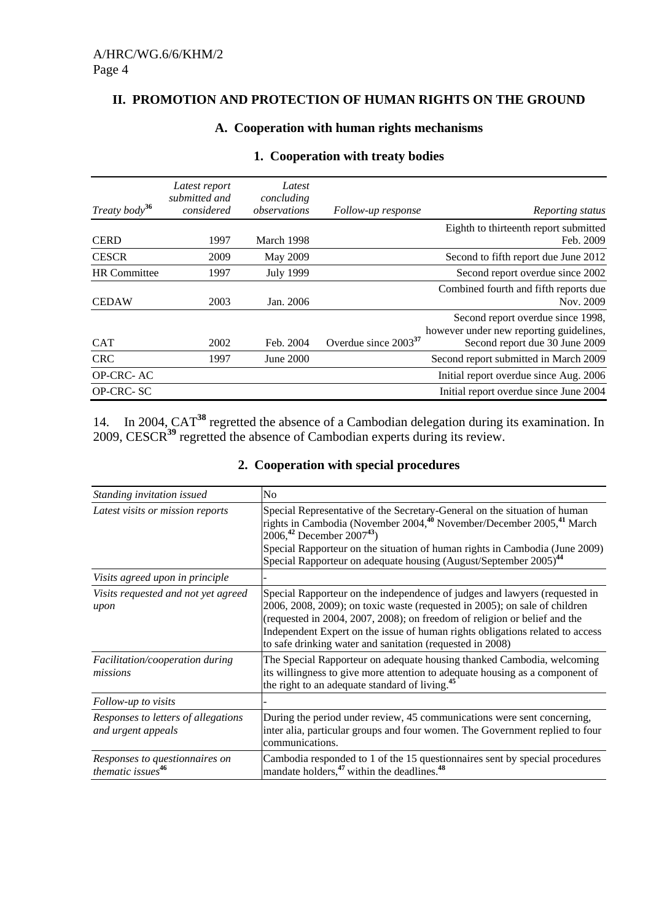### **II. PROMOTION AND PROTECTION OF HUMAN RIGHTS ON THE GROUND**

# **A. Cooperation with human rights mechanisms**

| Treaty body <sup>36</sup> | Latest report<br>submitted and<br>considered | Latest<br>concluding<br>observations | Follow-up response        | Reporting status                                                             |
|---------------------------|----------------------------------------------|--------------------------------------|---------------------------|------------------------------------------------------------------------------|
|                           |                                              |                                      |                           | Eighth to thirteenth report submitted                                        |
| <b>CERD</b>               | 1997                                         | March 1998                           |                           | Feb. 2009                                                                    |
| <b>CESCR</b>              | 2009                                         | May 2009                             |                           | Second to fifth report due June 2012                                         |
| <b>HR</b> Committee       | 1997                                         | July 1999                            |                           | Second report overdue since 2002                                             |
|                           |                                              |                                      |                           | Combined fourth and fifth reports due                                        |
| <b>CEDAW</b>              | 2003                                         | Jan. 2006                            |                           | Nov. 2009                                                                    |
|                           |                                              |                                      |                           | Second report overdue since 1998,<br>however under new reporting guidelines, |
| <b>CAT</b>                | 2002                                         | Feb. 2004                            | Overdue since $2003^{37}$ | Second report due 30 June 2009                                               |
| <b>CRC</b>                | 1997                                         | June 2000                            |                           | Second report submitted in March 2009                                        |
| <b>OP-CRC-AC</b>          |                                              |                                      |                           | Initial report overdue since Aug. 2006                                       |
| <b>OP-CRC-SC</b>          |                                              |                                      |                           | Initial report overdue since June 2004                                       |

# **1. Cooperation with treaty bodies**

14. In 2004, CAT**<sup>38</sup>** regretted the absence of a Cambodian delegation during its examination. In 2009, CESCR**<sup>39</sup>** regretted the absence of Cambodian experts during its review.

|  | 2. Cooperation with special procedures |  |  |
|--|----------------------------------------|--|--|
|--|----------------------------------------|--|--|

| Standing invitation issued                                      | No                                                                                                                                                                                                                                                                                                                                                                                            |
|-----------------------------------------------------------------|-----------------------------------------------------------------------------------------------------------------------------------------------------------------------------------------------------------------------------------------------------------------------------------------------------------------------------------------------------------------------------------------------|
| Latest visits or mission reports                                | Special Representative of the Secretary-General on the situation of human<br>rights in Cambodia (November 2004, <sup>40</sup> November/December 2005, <sup>41</sup> March<br>2006, <sup>42</sup> December 2007 <sup>43</sup> )<br>Special Rapporteur on the situation of human rights in Cambodia (June 2009)<br>Special Rapporteur on adequate housing (August/September 2005) <sup>44</sup> |
| Visits agreed upon in principle                                 |                                                                                                                                                                                                                                                                                                                                                                                               |
| Visits requested and not yet agreed<br>upon                     | Special Rapporteur on the independence of judges and lawyers (requested in<br>2006, 2008, 2009); on toxic waste (requested in 2005); on sale of children<br>(requested in 2004, 2007, 2008); on freedom of religion or belief and the<br>Independent Expert on the issue of human rights obligations related to access<br>to safe drinking water and sanitation (requested in 2008)           |
| Facilitation/cooperation during<br>missions                     | The Special Rapporteur on adequate housing thanked Cambodia, welcoming<br>its willingness to give more attention to adequate housing as a component of<br>the right to an adequate standard of living. <sup>45</sup>                                                                                                                                                                          |
| Follow-up to visits                                             |                                                                                                                                                                                                                                                                                                                                                                                               |
| Responses to letters of allegations<br>and urgent appeals       | During the period under review, 45 communications were sent concerning,<br>inter alia, particular groups and four women. The Government replied to four<br>communications.                                                                                                                                                                                                                    |
| Responses to questionnaires on<br>thematic issues <sup>46</sup> | Cambodia responded to 1 of the 15 questionnaires sent by special procedures<br>mandate holders, <sup>47</sup> within the deadlines. <sup>48</sup>                                                                                                                                                                                                                                             |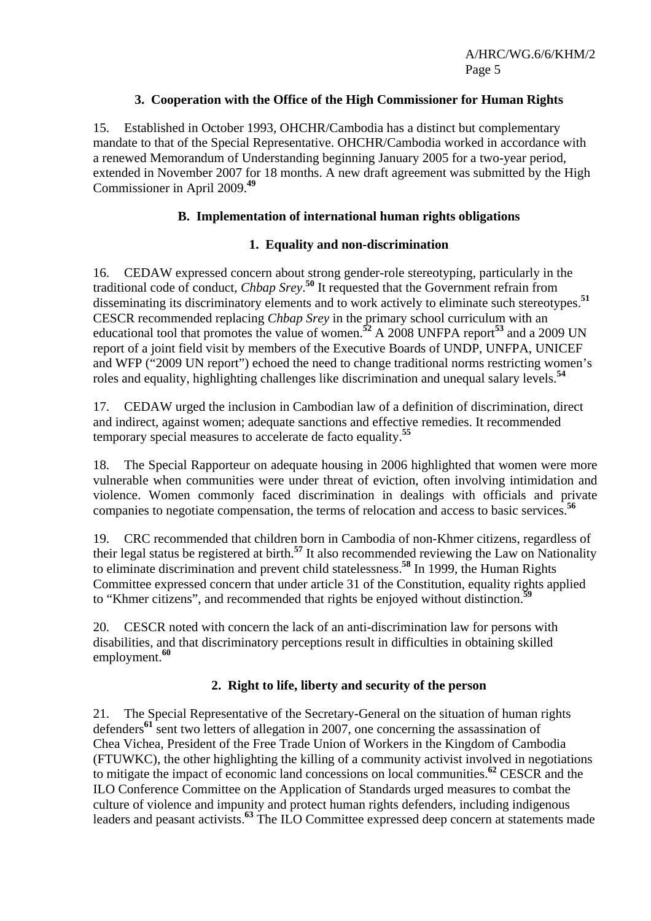# **3. Cooperation with the Office of the High Commissioner for Human Rights**

15. Established in October 1993, OHCHR/Cambodia has a distinct but complementary mandate to that of the Special Representative. OHCHR/Cambodia worked in accordance with a renewed Memorandum of Understanding beginning January 2005 for a two-year period, extended in November 2007 for 18 months. A new draft agreement was submitted by the High Commissioner in April 2009.**<sup>49</sup>**

# **B. Implementation of international human rights obligations**

# **1. Equality and non-discrimination**

16. CEDAW expressed concern about strong gender-role stereotyping, particularly in the traditional code of conduct, *Chbap Srey*. **<sup>50</sup>** It requested that the Government refrain from disseminating its discriminatory elements and to work actively to eliminate such stereotypes.**<sup>51</sup>** CESCR recommended replacing *Chbap Srey* in the primary school curriculum with an educational tool that promotes the value of women.**<sup>52</sup>** A 2008 UNFPA report**<sup>53</sup>** and a 2009 UN report of a joint field visit by members of the Executive Boards of UNDP, UNFPA, UNICEF and WFP ("2009 UN report") echoed the need to change traditional norms restricting women's roles and equality, highlighting challenges like discrimination and unequal salary levels.**<sup>54</sup>**

17. CEDAW urged the inclusion in Cambodian law of a definition of discrimination, direct and indirect, against women; adequate sanctions and effective remedies. It recommended temporary special measures to accelerate de facto equality.**<sup>55</sup>**

18. The Special Rapporteur on adequate housing in 2006 highlighted that women were more vulnerable when communities were under threat of eviction, often involving intimidation and violence. Women commonly faced discrimination in dealings with officials and private companies to negotiate compensation, the terms of relocation and access to basic services.**<sup>56</sup>**

19. CRC recommended that children born in Cambodia of non-Khmer citizens, regardless of their legal status be registered at birth.**<sup>57</sup>** It also recommended reviewing the Law on Nationality to eliminate discrimination and prevent child statelessness.**<sup>58</sup>** In 1999, the Human Rights Committee expressed concern that under article 31 of the Constitution, equality rights applied to "Khmer citizens", and recommended that rights be enjoyed without distinction.**<sup>59</sup>**

20. CESCR noted with concern the lack of an anti-discrimination law for persons with disabilities, and that discriminatory perceptions result in difficulties in obtaining skilled employment.**<sup>60</sup>**

# **2. Right to life, liberty and security of the person**

21. The Special Representative of the Secretary-General on the situation of human rights defenders**<sup>61</sup>** sent two letters of allegation in 2007, one concerning the assassination of Chea Vichea, President of the Free Trade Union of Workers in the Kingdom of Cambodia (FTUWKC), the other highlighting the killing of a community activist involved in negotiations to mitigate the impact of economic land concessions on local communities.**<sup>62</sup>** CESCR and the ILO Conference Committee on the Application of Standards urged measures to combat the culture of violence and impunity and protect human rights defenders, including indigenous leaders and peasant activists.**<sup>63</sup>** The ILO Committee expressed deep concern at statements made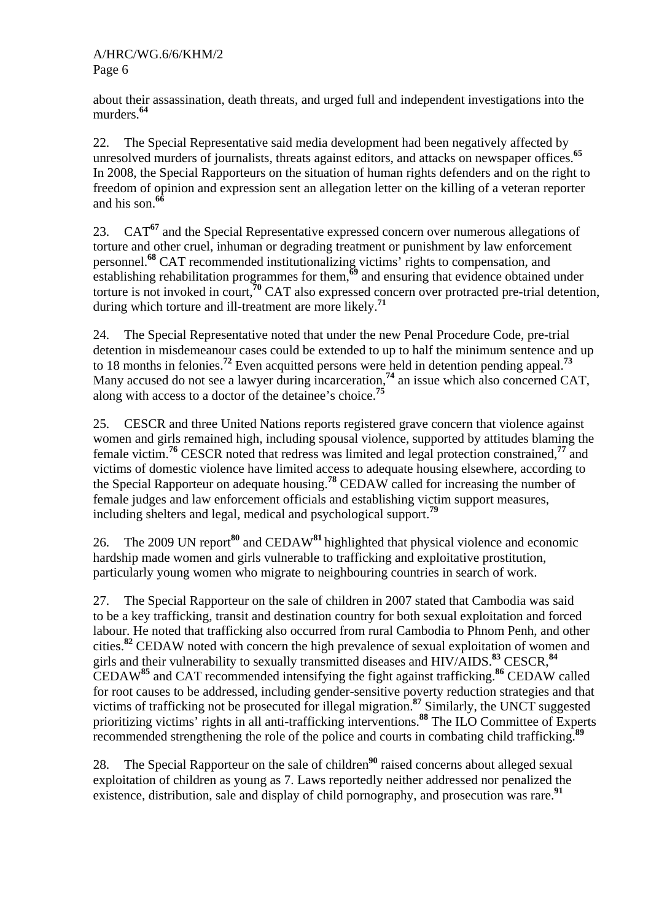about their assassination, death threats, and urged full and independent investigations into the murders.**<sup>64</sup>**

22. The Special Representative said media development had been negatively affected by unresolved murders of journalists, threats against editors, and attacks on newspaper offices.<sup>65</sup> In 2008, the Special Rapporteurs on the situation of human rights defenders and on the right to freedom of opinion and expression sent an allegation letter on the killing of a veteran reporter and his son.**<sup>66</sup>**

23. CAT**<sup>67</sup>** and the Special Representative expressed concern over numerous allegations of torture and other cruel, inhuman or degrading treatment or punishment by law enforcement personnel.**<sup>68</sup>** CAT recommended institutionalizing victims' rights to compensation, and establishing rehabilitation programmes for them,**<sup>69</sup>** and ensuring that evidence obtained under torture is not invoked in court,**<sup>70</sup>** CAT also expressed concern over protracted pre-trial detention, during which torture and ill-treatment are more likely.**<sup>71</sup>**

24. The Special Representative noted that under the new Penal Procedure Code, pre-trial detention in misdemeanour cases could be extended to up to half the minimum sentence and up to 18 months in felonies.**<sup>72</sup>** Even acquitted persons were held in detention pending appeal.**<sup>73</sup>** Many accused do not see a lawyer during incarceration,<sup>74</sup> an issue which also concerned CAT, along with access to a doctor of the detainee's choice.**<sup>75</sup>**

25. CESCR and three United Nations reports registered grave concern that violence against women and girls remained high, including spousal violence, supported by attitudes blaming the female victim.**<sup>76</sup>** CESCR noted that redress was limited and legal protection constrained,**<sup>77</sup>** and victims of domestic violence have limited access to adequate housing elsewhere, according to the Special Rapporteur on adequate housing.**<sup>78</sup>** CEDAW called for increasing the number of female judges and law enforcement officials and establishing victim support measures, including shelters and legal, medical and psychological support.**<sup>79</sup>**

26. The 2009 UN report**<sup>80</sup>** and CEDAW**<sup>81</sup>** highlighted that physical violence and economic hardship made women and girls vulnerable to trafficking and exploitative prostitution, particularly young women who migrate to neighbouring countries in search of work.

27. The Special Rapporteur on the sale of children in 2007 stated that Cambodia was said to be a key trafficking, transit and destination country for both sexual exploitation and forced labour. He noted that trafficking also occurred from rural Cambodia to Phnom Penh, and other cities.**<sup>82</sup>** CEDAW noted with concern the high prevalence of sexual exploitation of women and girls and their vulnerability to sexually transmitted diseases and HIV/AIDS.**<sup>83</sup>** CESCR,**<sup>84</sup>** CEDAW**<sup>85</sup>** and CAT recommended intensifying the fight against trafficking.**<sup>86</sup>** CEDAW called for root causes to be addressed, including gender-sensitive poverty reduction strategies and that victims of trafficking not be prosecuted for illegal migration.**<sup>87</sup>** Similarly, the UNCT suggested prioritizing victims' rights in all anti-trafficking interventions.**<sup>88</sup>** The ILO Committee of Experts recommended strengthening the role of the police and courts in combating child trafficking.**<sup>89</sup>**

28. The Special Rapporteur on the sale of children**<sup>90</sup>** raised concerns about alleged sexual exploitation of children as young as 7. Laws reportedly neither addressed nor penalized the existence, distribution, sale and display of child pornography, and prosecution was rare.<sup>91</sup>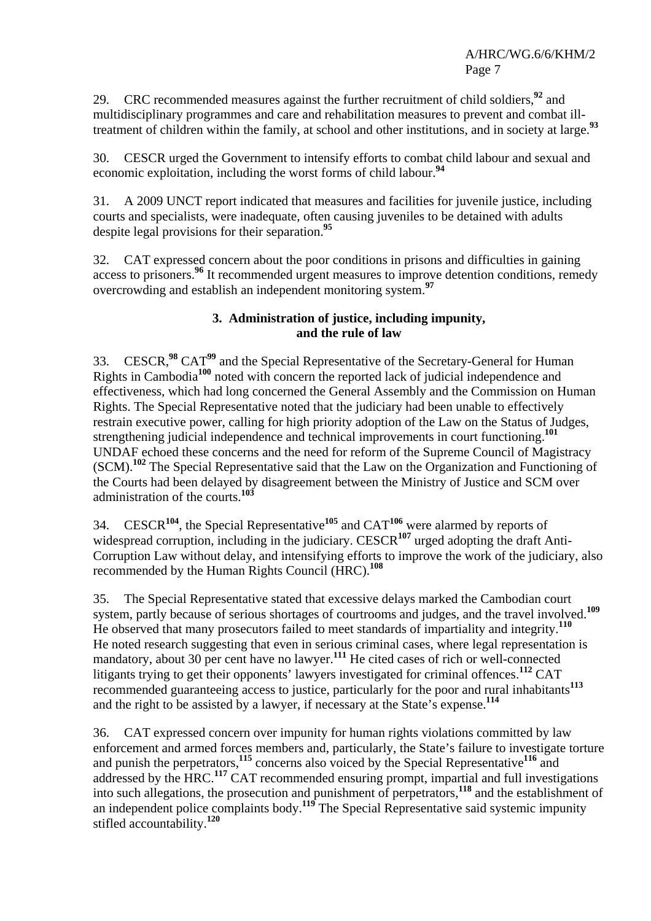29. CRC recommended measures against the further recruitment of child soldiers,**<sup>92</sup>** and multidisciplinary programmes and care and rehabilitation measures to prevent and combat illtreatment of children within the family, at school and other institutions, and in society at large.**<sup>93</sup>**

30. CESCR urged the Government to intensify efforts to combat child labour and sexual and economic exploitation, including the worst forms of child labour.**<sup>94</sup>**

31. A 2009 UNCT report indicated that measures and facilities for juvenile justice, including courts and specialists, were inadequate, often causing juveniles to be detained with adults despite legal provisions for their separation.**<sup>95</sup>**

32. CAT expressed concern about the poor conditions in prisons and difficulties in gaining access to prisoners.**<sup>96</sup>** It recommended urgent measures to improve detention conditions, remedy overcrowding and establish an independent monitoring system.**<sup>97</sup>**

# **3. Administration of justice, including impunity, and the rule of law**

33. CESCR,**<sup>98</sup>** CAT**<sup>99</sup>** and the Special Representative of the Secretary-General for Human Rights in Cambodia**<sup>100</sup>** noted with concern the reported lack of judicial independence and effectiveness, which had long concerned the General Assembly and the Commission on Human Rights. The Special Representative noted that the judiciary had been unable to effectively restrain executive power, calling for high priority adoption of the Law on the Status of Judges, strengthening judicial independence and technical improvements in court functioning.**<sup>101</sup>** UNDAF echoed these concerns and the need for reform of the Supreme Council of Magistracy (SCM).**<sup>102</sup>** The Special Representative said that the Law on the Organization and Functioning of the Courts had been delayed by disagreement between the Ministry of Justice and SCM over administration of the courts.**<sup>103</sup>**

34. CESCR**<sup>104</sup>**, the Special Representative**<sup>105</sup>** and CAT**<sup>106</sup>** were alarmed by reports of widespread corruption, including in the judiciary. CESCR<sup>107</sup> urged adopting the draft Anti-Corruption Law without delay, and intensifying efforts to improve the work of the judiciary, also recommended by the Human Rights Council (HRC).**<sup>108</sup>**

35. The Special Representative stated that excessive delays marked the Cambodian court system, partly because of serious shortages of courtrooms and judges, and the travel involved.**<sup>109</sup>** He observed that many prosecutors failed to meet standards of impartiality and integrity.**<sup>110</sup>** He noted research suggesting that even in serious criminal cases, where legal representation is mandatory, about 30 per cent have no lawyer.**<sup>111</sup>** He cited cases of rich or well-connected litigants trying to get their opponents' lawyers investigated for criminal offences.**<sup>112</sup>** CAT recommended guaranteeing access to justice, particularly for the poor and rural inhabitants**<sup>113</sup>** and the right to be assisted by a lawyer, if necessary at the State's expense.**<sup>114</sup>**

36. CAT expressed concern over impunity for human rights violations committed by law enforcement and armed forces members and, particularly, the State's failure to investigate torture and punish the perpetrators,<sup>115</sup> concerns also voiced by the Special Representative<sup>116</sup> and addressed by the HRC.**<sup>117</sup>** CAT recommended ensuring prompt, impartial and full investigations into such allegations, the prosecution and punishment of perpetrators,**<sup>118</sup>** and the establishment of an independent police complaints body.**<sup>119</sup>** The Special Representative said systemic impunity stifled accountability.**<sup>120</sup>**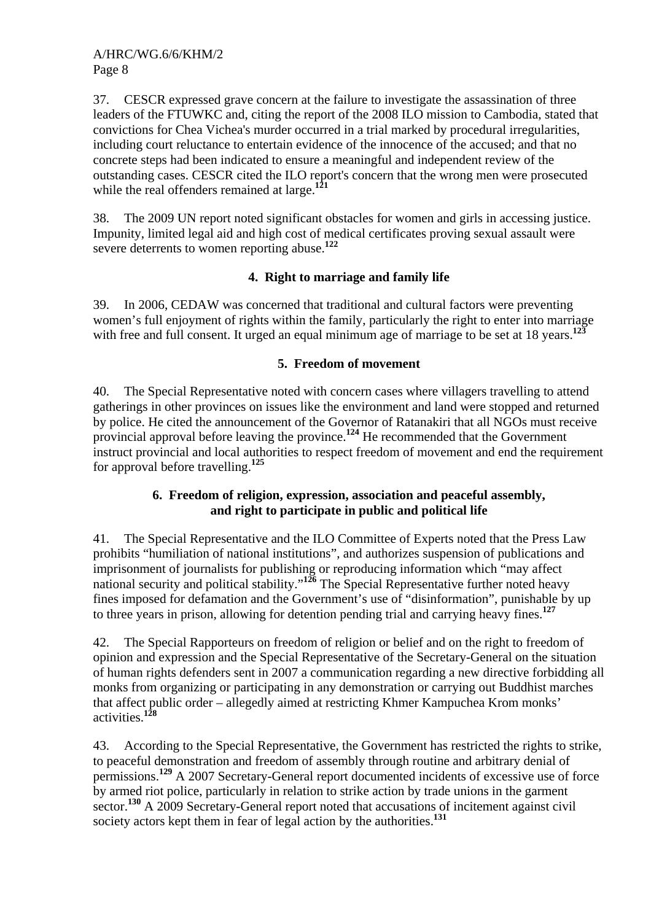37. CESCR expressed grave concern at the failure to investigate the assassination of three leaders of the FTUWKC and, citing the report of the 2008 ILO mission to Cambodia, stated that convictions for Chea Vichea's murder occurred in a trial marked by procedural irregularities, including court reluctance to entertain evidence of the innocence of the accused; and that no concrete steps had been indicated to ensure a meaningful and independent review of the outstanding cases. CESCR cited the ILO report's concern that the wrong men were prosecuted while the real offenders remained at large.**<sup>121</sup>**

38. The 2009 UN report noted significant obstacles for women and girls in accessing justice. Impunity, limited legal aid and high cost of medical certificates proving sexual assault were severe deterrents to women reporting abuse.**<sup>122</sup>**

# **4. Right to marriage and family life**

39. In 2006, CEDAW was concerned that traditional and cultural factors were preventing women's full enjoyment of rights within the family, particularly the right to enter into marriage with free and full consent. It urged an equal minimum age of marriage to be set at 18 years.<sup>123</sup>

# **5. Freedom of movement**

40. The Special Representative noted with concern cases where villagers travelling to attend gatherings in other provinces on issues like the environment and land were stopped and returned by police. He cited the announcement of the Governor of Ratanakiri that all NGOs must receive provincial approval before leaving the province.**<sup>124</sup>** He recommended that the Government instruct provincial and local authorities to respect freedom of movement and end the requirement for approval before travelling.**<sup>125</sup>**

# **6. Freedom of religion, expression, association and peaceful assembly, and right to participate in public and political life**

41. The Special Representative and the ILO Committee of Experts noted that the Press Law prohibits "humiliation of national institutions", and authorizes suspension of publications and imprisonment of journalists for publishing or reproducing information which "may affect national security and political stability."<sup>126</sup> The Special Representative further noted heavy fines imposed for defamation and the Government's use of "disinformation", punishable by up to three years in prison, allowing for detention pending trial and carrying heavy fines.**<sup>127</sup>**

42. The Special Rapporteurs on freedom of religion or belief and on the right to freedom of opinion and expression and the Special Representative of the Secretary-General on the situation of human rights defenders sent in 2007 a communication regarding a new directive forbidding all monks from organizing or participating in any demonstration or carrying out Buddhist marches that affect public order – allegedly aimed at restricting Khmer Kampuchea Krom monks' activities.**<sup>128</sup>**

43. According to the Special Representative, the Government has restricted the rights to strike, to peaceful demonstration and freedom of assembly through routine and arbitrary denial of permissions.**<sup>129</sup>** A 2007 Secretary-General report documented incidents of excessive use of force by armed riot police, particularly in relation to strike action by trade unions in the garment sector.**<sup>130</sup>** A 2009 Secretary-General report noted that accusations of incitement against civil society actors kept them in fear of legal action by the authorities.**<sup>131</sup>**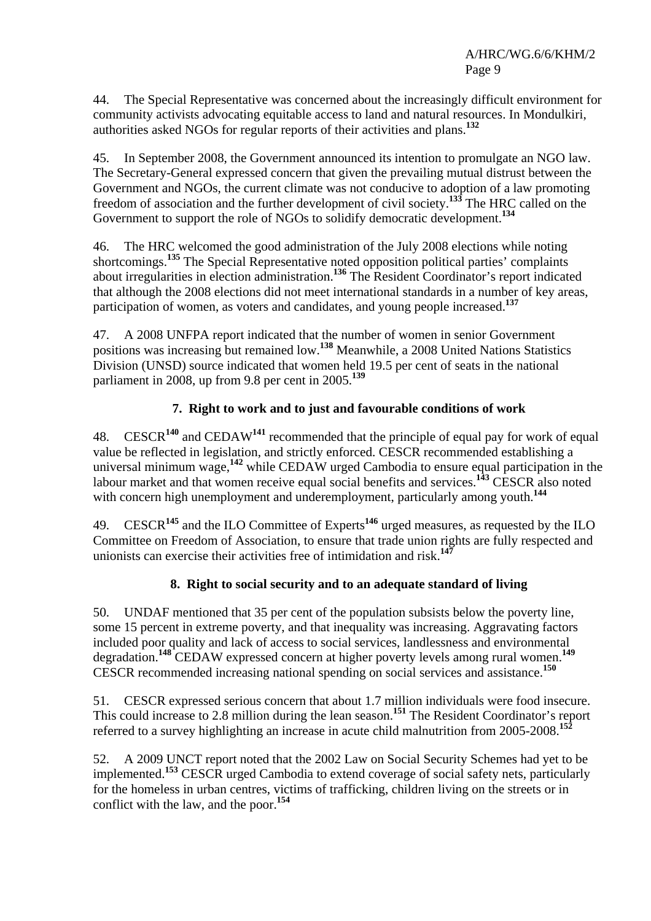44. The Special Representative was concerned about the increasingly difficult environment for community activists advocating equitable access to land and natural resources. In Mondulkiri, authorities asked NGOs for regular reports of their activities and plans.**<sup>132</sup>**

45. In September 2008, the Government announced its intention to promulgate an NGO law. The Secretary-General expressed concern that given the prevailing mutual distrust between the Government and NGOs, the current climate was not conducive to adoption of a law promoting freedom of association and the further development of civil society.**<sup>133</sup>** The HRC called on the Government to support the role of NGOs to solidify democratic development.**<sup>134</sup>**

46. The HRC welcomed the good administration of the July 2008 elections while noting shortcomings.<sup>135</sup> The Special Representative noted opposition political parties' complaints about irregularities in election administration.**<sup>136</sup>** The Resident Coordinator's report indicated that although the 2008 elections did not meet international standards in a number of key areas, participation of women, as voters and candidates, and young people increased.**<sup>137</sup>**

47. A 2008 UNFPA report indicated that the number of women in senior Government positions was increasing but remained low.**<sup>138</sup>** Meanwhile, a 2008 United Nations Statistics Division (UNSD) source indicated that women held 19.5 per cent of seats in the national parliament in 2008, up from 9.8 per cent in 2005.**<sup>139</sup>**

# **7. Right to work and to just and favourable conditions of work**

48. CESCR**<sup>140</sup>** and CEDAW**<sup>141</sup>** recommended that the principle of equal pay for work of equal value be reflected in legislation, and strictly enforced. CESCR recommended establishing a universal minimum wage,**<sup>142</sup>** while CEDAW urged Cambodia to ensure equal participation in the labour market and that women receive equal social benefits and services.**<sup>143</sup>** CESCR also noted with concern high unemployment and underemployment, particularly among youth.**<sup>144</sup>**

49. CESCR**<sup>145</sup>** and the ILO Committee of Experts**<sup>146</sup>** urged measures, as requested by the ILO Committee on Freedom of Association, to ensure that trade union rights are fully respected and unionists can exercise their activities free of intimidation and risk.**<sup>147</sup>**

# **8. Right to social security and to an adequate standard of living**

50. UNDAF mentioned that 35 per cent of the population subsists below the poverty line, some 15 percent in extreme poverty, and that inequality was increasing. Aggravating factors included poor quality and lack of access to social services, landlessness and environmental degradation.**<sup>148</sup>** CEDAW expressed concern at higher poverty levels among rural women.**<sup>149</sup>** CESCR recommended increasing national spending on social services and assistance.**<sup>150</sup>**

51. CESCR expressed serious concern that about 1.7 million individuals were food insecure. This could increase to 2.8 million during the lean season.**<sup>151</sup>** The Resident Coordinator's report referred to a survey highlighting an increase in acute child malnutrition from 2005-2008.**<sup>152</sup>**

52. A 2009 UNCT report noted that the 2002 Law on Social Security Schemes had yet to be implemented.**<sup>153</sup>** CESCR urged Cambodia to extend coverage of social safety nets, particularly for the homeless in urban centres, victims of trafficking, children living on the streets or in conflict with the law, and the poor.**<sup>154</sup>**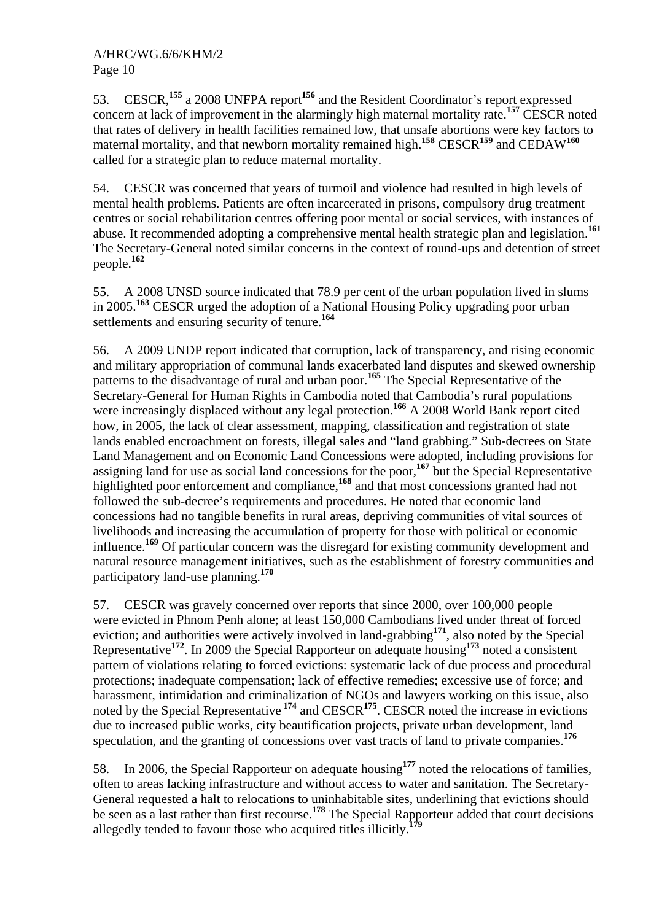53. CESCR,**<sup>155</sup>** a 2008 UNFPA report**<sup>156</sup>** and the Resident Coordinator's report expressed concern at lack of improvement in the alarmingly high maternal mortality rate.**<sup>157</sup>** CESCR noted that rates of delivery in health facilities remained low, that unsafe abortions were key factors to maternal mortality, and that newborn mortality remained high.**<sup>158</sup>** CESCR**<sup>159</sup>** and CEDAW**<sup>160</sup>** called for a strategic plan to reduce maternal mortality.

54. CESCR was concerned that years of turmoil and violence had resulted in high levels of mental health problems. Patients are often incarcerated in prisons, compulsory drug treatment centres or social rehabilitation centres offering poor mental or social services, with instances of abuse. It recommended adopting a comprehensive mental health strategic plan and legislation.**<sup>161</sup>** The Secretary-General noted similar concerns in the context of round-ups and detention of street people.**<sup>162</sup>**

55. A 2008 UNSD source indicated that 78.9 per cent of the urban population lived in slums in 2005.**<sup>163</sup>** CESCR urged the adoption of a National Housing Policy upgrading poor urban settlements and ensuring security of tenure.**<sup>164</sup>**

56. A 2009 UNDP report indicated that corruption, lack of transparency, and rising economic and military appropriation of communal lands exacerbated land disputes and skewed ownership patterns to the disadvantage of rural and urban poor.**<sup>165</sup>** The Special Representative of the Secretary-General for Human Rights in Cambodia noted that Cambodia's rural populations were increasingly displaced without any legal protection.<sup>166</sup> A 2008 World Bank report cited how, in 2005, the lack of clear assessment, mapping, classification and registration of state lands enabled encroachment on forests, illegal sales and "land grabbing." Sub-decrees on State Land Management and on Economic Land Concessions were adopted, including provisions for assigning land for use as social land concessions for the poor,**<sup>167</sup>** but the Special Representative highlighted poor enforcement and compliance,<sup>168</sup> and that most concessions granted had not followed the sub-decree's requirements and procedures. He noted that economic land concessions had no tangible benefits in rural areas, depriving communities of vital sources of livelihoods and increasing the accumulation of property for those with political or economic influence.**<sup>169</sup>** Of particular concern was the disregard for existing community development and natural resource management initiatives, such as the establishment of forestry communities and participatory land-use planning.**<sup>170</sup>**

57. CESCR was gravely concerned over reports that since 2000, over 100,000 people were evicted in Phnom Penh alone; at least 150,000 Cambodians lived under threat of forced eviction; and authorities were actively involved in land-grabbing<sup>171</sup>, also noted by the Special Representative**<sup>172</sup>**. In 2009 the Special Rapporteur on adequate housing**<sup>173</sup>** noted a consistent pattern of violations relating to forced evictions: systematic lack of due process and procedural protections; inadequate compensation; lack of effective remedies; excessive use of force; and harassment, intimidation and criminalization of NGOs and lawyers working on this issue, also noted by the Special Representative <sup>174</sup> and CESCR<sup>175</sup>. CESCR noted the increase in evictions due to increased public works, city beautification projects, private urban development, land speculation, and the granting of concessions over vast tracts of land to private companies.**<sup>176</sup>**

58. In 2006, the Special Rapporteur on adequate housing**<sup>177</sup>** noted the relocations of families, often to areas lacking infrastructure and without access to water and sanitation. The Secretary-General requested a halt to relocations to uninhabitable sites, underlining that evictions should be seen as a last rather than first recourse.<sup>178</sup> The Special Rapporteur added that court decisions allegedly tended to favour those who acquired titles illicitly.**<sup>179</sup>**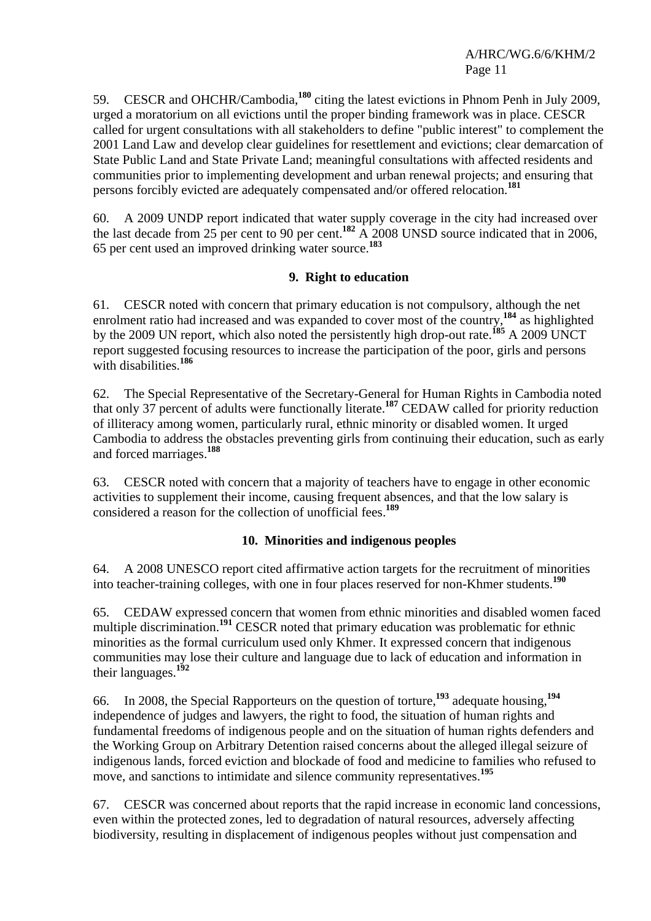59. CESCR and OHCHR/Cambodia,**<sup>180</sup>** citing the latest evictions in Phnom Penh in July 2009, urged a moratorium on all evictions until the proper binding framework was in place. CESCR called for urgent consultations with all stakeholders to define "public interest" to complement the 2001 Land Law and develop clear guidelines for resettlement and evictions; clear demarcation of State Public Land and State Private Land; meaningful consultations with affected residents and communities prior to implementing development and urban renewal projects; and ensuring that persons forcibly evicted are adequately compensated and/or offered relocation.**<sup>181</sup>**

60. A 2009 UNDP report indicated that water supply coverage in the city had increased over the last decade from 25 per cent to 90 per cent.**<sup>182</sup>** A 2008 UNSD source indicated that in 2006, 65 per cent used an improved drinking water source.**<sup>183</sup>**

# **9. Right to education**

61. CESCR noted with concern that primary education is not compulsory, although the net enrolment ratio had increased and was expanded to cover most of the country,**<sup>184</sup>** as highlighted by the 2009 UN report, which also noted the persistently high drop-out rate.**<sup>185</sup>** A 2009 UNCT report suggested focusing resources to increase the participation of the poor, girls and persons with disabilities.**<sup>186</sup>**

62. The Special Representative of the Secretary-General for Human Rights in Cambodia noted that only 37 percent of adults were functionally literate.**<sup>187</sup>** CEDAW called for priority reduction of illiteracy among women, particularly rural, ethnic minority or disabled women. It urged Cambodia to address the obstacles preventing girls from continuing their education, such as early and forced marriages.**<sup>188</sup>**

63. CESCR noted with concern that a majority of teachers have to engage in other economic activities to supplement their income, causing frequent absences, and that the low salary is considered a reason for the collection of unofficial fees.**<sup>189</sup>**

# **10. Minorities and indigenous peoples**

64. A 2008 UNESCO report cited affirmative action targets for the recruitment of minorities into teacher-training colleges, with one in four places reserved for non-Khmer students.**<sup>190</sup>**

65. CEDAW expressed concern that women from ethnic minorities and disabled women faced multiple discrimination.<sup>191</sup> CESCR noted that primary education was problematic for ethnic minorities as the formal curriculum used only Khmer. It expressed concern that indigenous communities may lose their culture and language due to lack of education and information in their languages.**<sup>192</sup>**

66. In 2008, the Special Rapporteurs on the question of torture,**<sup>193</sup>** adequate housing,**<sup>194</sup>** independence of judges and lawyers, the right to food, the situation of human rights and fundamental freedoms of indigenous people and on the situation of human rights defenders and the Working Group on Arbitrary Detention raised concerns about the alleged illegal seizure of indigenous lands, forced eviction and blockade of food and medicine to families who refused to move, and sanctions to intimidate and silence community representatives.**<sup>195</sup>**

67. CESCR was concerned about reports that the rapid increase in economic land concessions, even within the protected zones, led to degradation of natural resources, adversely affecting biodiversity, resulting in displacement of indigenous peoples without just compensation and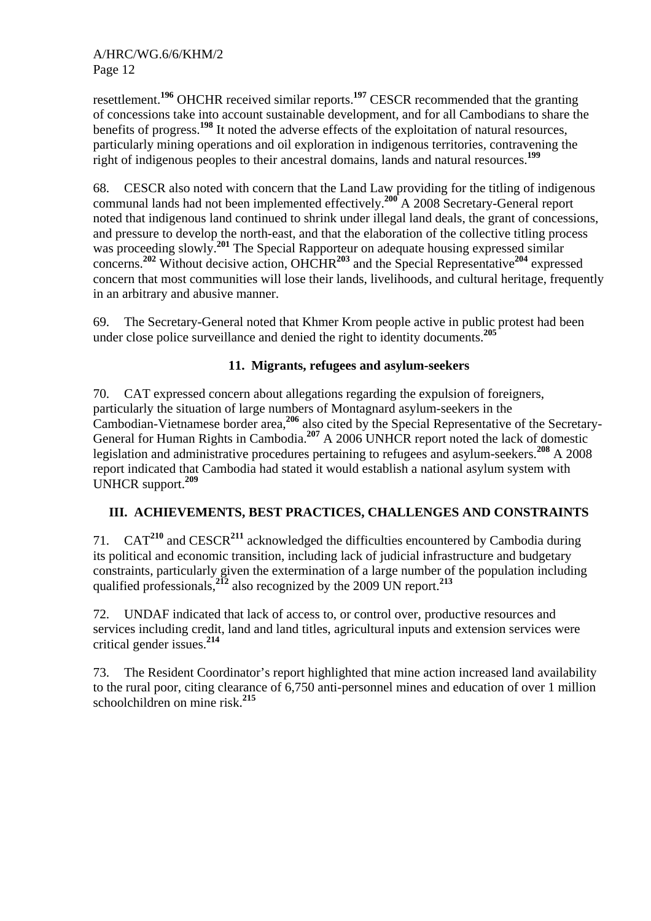resettlement.**<sup>196</sup>** OHCHR received similar reports.**<sup>197</sup>** CESCR recommended that the granting of concessions take into account sustainable development, and for all Cambodians to share the benefits of progress.**<sup>198</sup>** It noted the adverse effects of the exploitation of natural resources, particularly mining operations and oil exploration in indigenous territories, contravening the right of indigenous peoples to their ancestral domains, lands and natural resources.**<sup>199</sup>**

68. CESCR also noted with concern that the Land Law providing for the titling of indigenous communal lands had not been implemented effectively.**<sup>200</sup>** A 2008 Secretary-General report noted that indigenous land continued to shrink under illegal land deals, the grant of concessions, and pressure to develop the north-east, and that the elaboration of the collective titling process was proceeding slowly.**<sup>201</sup>** The Special Rapporteur on adequate housing expressed similar concerns.**<sup>202</sup>** Without decisive action, OHCHR**<sup>203</sup>** and the Special Representative**<sup>204</sup>** expressed concern that most communities will lose their lands, livelihoods, and cultural heritage, frequently in an arbitrary and abusive manner.

69. The Secretary-General noted that Khmer Krom people active in public protest had been under close police surveillance and denied the right to identity documents.**<sup>205</sup>**

# **11. Migrants, refugees and asylum-seekers**

70. CAT expressed concern about allegations regarding the expulsion of foreigners, particularly the situation of large numbers of Montagnard asylum-seekers in the Cambodian-Vietnamese border area,**<sup>206</sup>** also cited by the Special Representative of the Secretary-General for Human Rights in Cambodia.**<sup>207</sup>** A 2006 UNHCR report noted the lack of domestic legislation and administrative procedures pertaining to refugees and asylum-seekers.**<sup>208</sup>** A 2008 report indicated that Cambodia had stated it would establish a national asylum system with UNHCR support.**<sup>209</sup>**

# **III. ACHIEVEMENTS, BEST PRACTICES, CHALLENGES AND CONSTRAINTS**

71. CAT**<sup>210</sup>** and CESCR**<sup>211</sup>** acknowledged the difficulties encountered by Cambodia during its political and economic transition, including lack of judicial infrastructure and budgetary constraints, particularly given the extermination of a large number of the population including qualified professionals,**<sup>212</sup>** also recognized by the 2009 UN report.**<sup>213</sup>**

72. UNDAF indicated that lack of access to, or control over, productive resources and services including credit, land and land titles, agricultural inputs and extension services were critical gender issues.**<sup>214</sup>**

73. The Resident Coordinator's report highlighted that mine action increased land availability to the rural poor, citing clearance of 6,750 anti-personnel mines and education of over 1 million schoolchildren on mine risk.**<sup>215</sup>**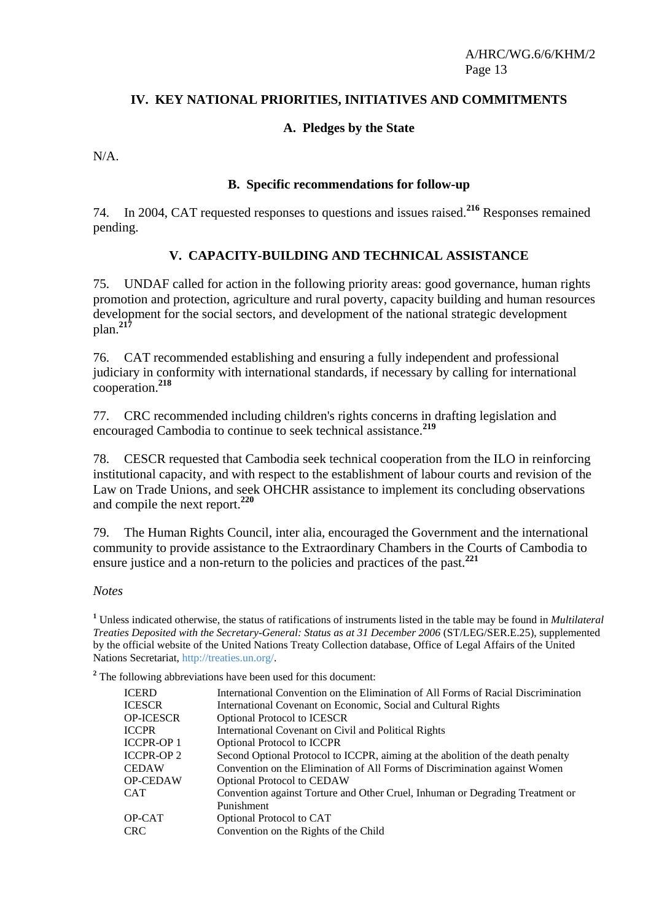### **IV. KEY NATIONAL PRIORITIES, INITIATIVES AND COMMITMENTS**

### **A. Pledges by the State**

N/A.

### **B. Specific recommendations for follow-up**

74. In 2004, CAT requested responses to questions and issues raised.**<sup>216</sup>** Responses remained pending.

### **V. CAPACITY-BUILDING AND TECHNICAL ASSISTANCE**

75. UNDAF called for action in the following priority areas: good governance, human rights promotion and protection, agriculture and rural poverty, capacity building and human resources development for the social sectors, and development of the national strategic development plan.**<sup>217</sup>**

76. CAT recommended establishing and ensuring a fully independent and professional judiciary in conformity with international standards, if necessary by calling for international cooperation.**<sup>218</sup>**

77. CRC recommended including children's rights concerns in drafting legislation and encouraged Cambodia to continue to seek technical assistance.**<sup>219</sup>**

78. CESCR requested that Cambodia seek technical cooperation from the ILO in reinforcing institutional capacity, and with respect to the establishment of labour courts and revision of the Law on Trade Unions, and seek OHCHR assistance to implement its concluding observations and compile the next report.**<sup>220</sup>**

79. The Human Rights Council, inter alia, encouraged the Government and the international community to provide assistance to the Extraordinary Chambers in the Courts of Cambodia to ensure justice and a non-return to the policies and practices of the past.**<sup>221</sup>**

#### *Notes*

**1** Unless indicated otherwise, the status of ratifications of instruments listed in the table may be found in *Multilateral Treaties Deposited with the Secretary-General: Status as at 31 December 2006* (ST/LEG/SER.E.25), supplemented by the official website of the United Nations Treaty Collection database, Office of Legal Affairs of the United Nations Secretariat, http://treaties.un.org/.

<sup>2</sup> The following abbreviations have been used for this document:

| <b>ICERD</b>     | International Convention on the Elimination of All Forms of Racial Discrimination |
|------------------|-----------------------------------------------------------------------------------|
| <b>ICESCR</b>    | International Covenant on Economic, Social and Cultural Rights                    |
| <b>OP-ICESCR</b> | <b>Optional Protocol to ICESCR</b>                                                |
| <b>ICCPR</b>     | International Covenant on Civil and Political Rights                              |
| <b>ICCPR-OP1</b> | <b>Optional Protocol to ICCPR</b>                                                 |
| <b>ICCPR-OP2</b> | Second Optional Protocol to ICCPR, aiming at the abolition of the death penalty   |
| <b>CEDAW</b>     | Convention on the Elimination of All Forms of Discrimination against Women        |
| <b>OP-CEDAW</b>  | <b>Optional Protocol to CEDAW</b>                                                 |
| <b>CAT</b>       | Convention against Torture and Other Cruel, Inhuman or Degrading Treatment or     |
|                  | Punishment                                                                        |
| OP-CAT           | Optional Protocol to CAT                                                          |
| <b>CRC</b>       | Convention on the Rights of the Child                                             |
|                  |                                                                                   |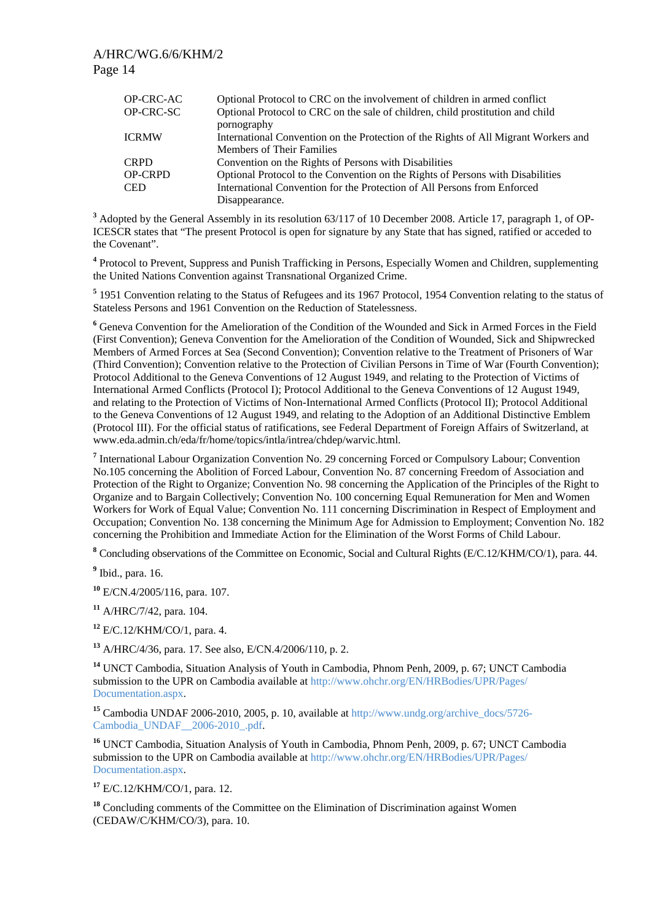| <b>OP-CRC-AC</b> | Optional Protocol to CRC on the involvement of children in armed conflict           |
|------------------|-------------------------------------------------------------------------------------|
| OP-CRC-SC        | Optional Protocol to CRC on the sale of children, child prostitution and child      |
|                  | pornography                                                                         |
| <b>ICRMW</b>     | International Convention on the Protection of the Rights of All Migrant Workers and |
|                  | <b>Members of Their Families</b>                                                    |
| <b>CRPD</b>      | Convention on the Rights of Persons with Disabilities                               |
| <b>OP-CRPD</b>   | Optional Protocol to the Convention on the Rights of Persons with Disabilities      |
| <b>CED</b>       | International Convention for the Protection of All Persons from Enforced            |
|                  | Disappearance.                                                                      |

<sup>3</sup> Adopted by the General Assembly in its resolution 63/117 of 10 December 2008. Article 17, paragraph 1, of OP-ICESCR states that "The present Protocol is open for signature by any State that has signed, ratified or acceded to the Covenant".

<sup>4</sup> Protocol to Prevent, Suppress and Punish Trafficking in Persons, Especially Women and Children, supplementing the United Nations Convention against Transnational Organized Crime.

<sup>5</sup> 1951 Convention relating to the Status of Refugees and its 1967 Protocol, 1954 Convention relating to the status of Stateless Persons and 1961 Convention on the Reduction of Statelessness.

<sup>6</sup> Geneva Convention for the Amelioration of the Condition of the Wounded and Sick in Armed Forces in the Field (First Convention); Geneva Convention for the Amelioration of the Condition of Wounded, Sick and Shipwrecked Members of Armed Forces at Sea (Second Convention); Convention relative to the Treatment of Prisoners of War (Third Convention); Convention relative to the Protection of Civilian Persons in Time of War (Fourth Convention); Protocol Additional to the Geneva Conventions of 12 August 1949, and relating to the Protection of Victims of International Armed Conflicts (Protocol I); Protocol Additional to the Geneva Conventions of 12 August 1949, and relating to the Protection of Victims of Non-International Armed Conflicts (Protocol II); Protocol Additional to the Geneva Conventions of 12 August 1949, and relating to the Adoption of an Additional Distinctive Emblem (Protocol III). For the official status of ratifications, see Federal Department of Foreign Affairs of Switzerland, at www.eda.admin.ch/eda/fr/home/topics/intla/intrea/chdep/warvic.html.

<sup>7</sup> International Labour Organization Convention No. 29 concerning Forced or Compulsory Labour; Convention No.105 concerning the Abolition of Forced Labour, Convention No. 87 concerning Freedom of Association and Protection of the Right to Organize; Convention No. 98 concerning the Application of the Principles of the Right to Organize and to Bargain Collectively; Convention No. 100 concerning Equal Remuneration for Men and Women Workers for Work of Equal Value; Convention No. 111 concerning Discrimination in Respect of Employment and Occupation; Convention No. 138 concerning the Minimum Age for Admission to Employment; Convention No. 182 concerning the Prohibition and Immediate Action for the Elimination of the Worst Forms of Child Labour.

<sup>8</sup> Concluding observations of the Committee on Economic, Social and Cultural Rights (E/C.12/KHM/CO/1), para. 44.

**9** Ibid., para. 16.

**<sup>10</sup>** E/CN.4/2005/116, para. 107.

**<sup>11</sup>** A/HRC/7/42, para. 104.

**<sup>12</sup>** E/C.12/KHM/CO/1, para. 4.

**<sup>13</sup>** A/HRC/4/36, para. 17. See also, E/CN.4/2006/110, p. 2.

**<sup>14</sup>** UNCT Cambodia, Situation Analysis of Youth in Cambodia, Phnom Penh, 2009, p. 67; UNCT Cambodia submission to the UPR on Cambodia available at http://www.ohchr.org/EN/HRBodies/UPR/Pages/ Documentation.aspx.

<sup>15</sup> Cambodia UNDAF 2006-2010, 2005, p. 10, available at http://www.undg.org/archive\_docs/5726-Cambodia\_UNDAF\_\_2006-2010\_.pdf.

**<sup>16</sup>** UNCT Cambodia, Situation Analysis of Youth in Cambodia, Phnom Penh, 2009, p. 67; UNCT Cambodia submission to the UPR on Cambodia available at http://www.ohchr.org/EN/HRBodies/UPR/Pages/ Documentation.aspx.

**<sup>17</sup>** E/C.12/KHM/CO/1, para. 12.

<sup>18</sup> Concluding comments of the Committee on the Elimination of Discrimination against Women (CEDAW/C/KHM/CO/3), para. 10.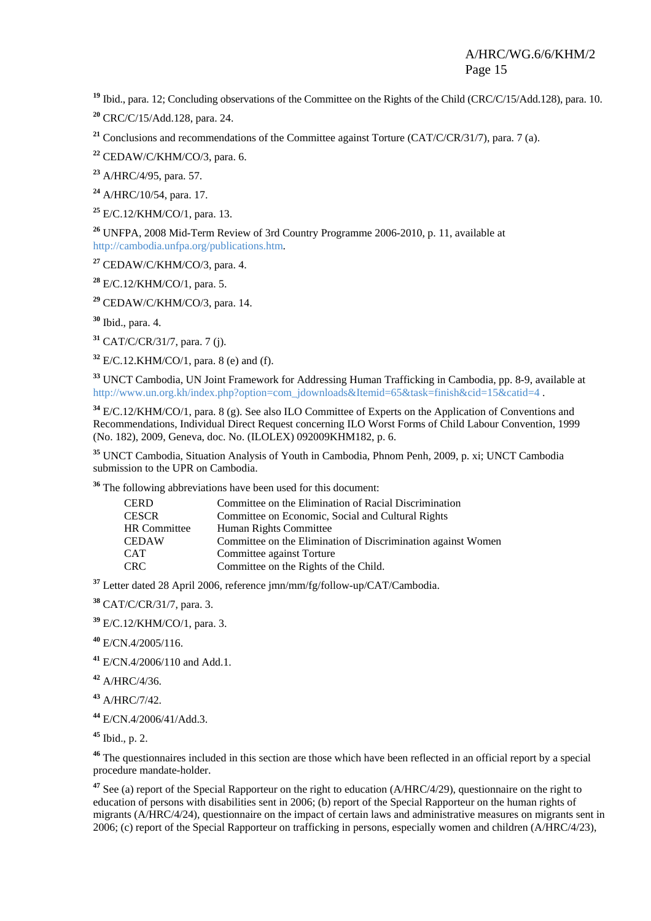**<sup>19</sup>** Ibid., para. 12; Concluding observations of the Committee on the Rights of the Child (CRC/C/15/Add.128), para. 10.

**<sup>20</sup>** CRC/C/15/Add.128, para. 24.

<sup>21</sup> Conclusions and recommendations of the Committee against Torture (CAT/C/CR/31/7), para. 7 (a).

**<sup>22</sup>** CEDAW/C/KHM/CO/3, para. 6.

**<sup>23</sup>** A/HRC/4/95, para. 57.

**<sup>24</sup>** A/HRC/10/54, para. 17.

**<sup>25</sup>** E/C.12/KHM/CO/1, para. 13.

**<sup>26</sup>** UNFPA, 2008 Mid-Term Review of 3rd Country Programme 2006-2010, p. 11, available at http://cambodia.unfpa.org/publications.htm.

**<sup>27</sup>** CEDAW/C/KHM/CO/3, para. 4.

**<sup>28</sup>** E/C.12/KHM/CO/1, para. 5.

**<sup>29</sup>** CEDAW/C/KHM/CO/3, para. 14.

**<sup>30</sup>** Ibid., para. 4.

**<sup>31</sup>** CAT/C/CR/31/7, para. 7 (j).

**<sup>32</sup>** E/C.12.KHM/CO/1, para. 8 (e) and (f).

**<sup>33</sup>** UNCT Cambodia, UN Joint Framework for Addressing Human Trafficking in Cambodia, pp. 8-9, available at http://www.un.org.kh/index.php?option=com\_jdownloads&Itemid=65&task=finish&cid=15&catid=4.

**<sup>34</sup>** E/C.12/KHM/CO/1, para. 8 (g). See also ILO Committee of Experts on the Application of Conventions and Recommendations, Individual Direct Request concerning ILO Worst Forms of Child Labour Convention, 1999 (No. 182), 2009, Geneva, doc. No. (ILOLEX) 092009KHM182, p. 6.

**<sup>35</sup>** UNCT Cambodia, Situation Analysis of Youth in Cambodia, Phnom Penh, 2009, p. xi; UNCT Cambodia submission to the UPR on Cambodia.

**<sup>36</sup>** The following abbreviations have been used for this document:

| <b>CERD</b>         | Committee on the Elimination of Racial Discrimination        |
|---------------------|--------------------------------------------------------------|
| <b>CESCR</b>        | Committee on Economic, Social and Cultural Rights            |
| <b>HR</b> Committee | Human Rights Committee                                       |
| <b>CEDAW</b>        | Committee on the Elimination of Discrimination against Women |
| <b>CAT</b>          | Committee against Torture                                    |
| <b>CRC</b>          | Committee on the Rights of the Child.                        |

**<sup>37</sup>** Letter dated 28 April 2006, reference jmn/mm/fg/follow-up/CAT/Cambodia.

**<sup>38</sup>** CAT/C/CR/31/7, para. 3.

**<sup>39</sup>** E/C.12/KHM/CO/1, para. 3.

**<sup>40</sup>** E/CN.4/2005/116.

**<sup>41</sup>** E/CN.4/2006/110 and Add.1.

**<sup>42</sup>** A/HRC/4/36.

**<sup>43</sup>** A/HRC/7/42.

**<sup>44</sup>** E/CN.4/2006/41/Add.3.

**<sup>45</sup>** Ibid., p. 2.

<sup>46</sup> The questionnaires included in this section are those which have been reflected in an official report by a special procedure mandate-holder.

**<sup>47</sup>** See (a) report of the Special Rapporteur on the right to education (A/HRC/4/29), questionnaire on the right to education of persons with disabilities sent in 2006; (b) report of the Special Rapporteur on the human rights of migrants (A/HRC/4/24), questionnaire on the impact of certain laws and administrative measures on migrants sent in 2006; (c) report of the Special Rapporteur on trafficking in persons, especially women and children (A/HRC/4/23),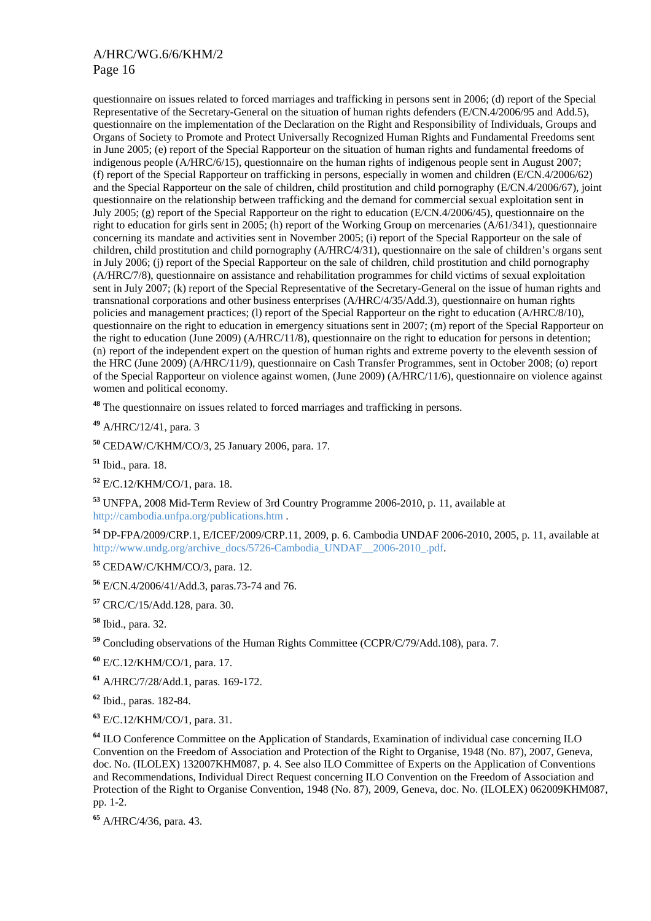questionnaire on issues related to forced marriages and trafficking in persons sent in 2006; (d) report of the Special Representative of the Secretary-General on the situation of human rights defenders (E/CN.4/2006/95 and Add.5), questionnaire on the implementation of the Declaration on the Right and Responsibility of Individuals, Groups and Organs of Society to Promote and Protect Universally Recognized Human Rights and Fundamental Freedoms sent in June 2005; (e) report of the Special Rapporteur on the situation of human rights and fundamental freedoms of indigenous people (A/HRC/6/15), questionnaire on the human rights of indigenous people sent in August 2007; (f) report of the Special Rapporteur on trafficking in persons, especially in women and children (E/CN.4/2006/62) and the Special Rapporteur on the sale of children, child prostitution and child pornography (E/CN.4/2006/67), joint questionnaire on the relationship between trafficking and the demand for commercial sexual exploitation sent in July 2005; (g) report of the Special Rapporteur on the right to education (E/CN.4/2006/45), questionnaire on the right to education for girls sent in 2005; (h) report of the Working Group on mercenaries (A/61/341), questionnaire concerning its mandate and activities sent in November 2005; (i) report of the Special Rapporteur on the sale of children, child prostitution and child pornography (A/HRC/4/31), questionnaire on the sale of children's organs sent in July 2006; (j) report of the Special Rapporteur on the sale of children, child prostitution and child pornography (A/HRC/7/8), questionnaire on assistance and rehabilitation programmes for child victims of sexual exploitation sent in July 2007; (k) report of the Special Representative of the Secretary-General on the issue of human rights and transnational corporations and other business enterprises (A/HRC/4/35/Add.3), questionnaire on human rights policies and management practices; (l) report of the Special Rapporteur on the right to education (A/HRC/8/10), questionnaire on the right to education in emergency situations sent in 2007; (m) report of the Special Rapporteur on the right to education (June 2009) (A/HRC/11/8), questionnaire on the right to education for persons in detention; (n) report of the independent expert on the question of human rights and extreme poverty to the eleventh session of the HRC (June 2009) (A/HRC/11/9), questionnaire on Cash Transfer Programmes, sent in October 2008; (o) report of the Special Rapporteur on violence against women, (June 2009) (A/HRC/11/6), questionnaire on violence against women and political economy.

**<sup>48</sup>** The questionnaire on issues related to forced marriages and trafficking in persons.

**<sup>49</sup>** A/HRC/12/41, para. 3

**<sup>50</sup>** CEDAW/C/KHM/CO/3, 25 January 2006, para. 17.

**<sup>51</sup>** Ibid., para. 18.

**<sup>52</sup>** E/C.12/KHM/CO/1, para. 18.

**<sup>53</sup>** UNFPA, 2008 Mid-Term Review of 3rd Country Programme 2006-2010, p. 11, available at http://cambodia.unfpa.org/publications.htm .

**<sup>54</sup>** DP-FPA/2009/CRP.1, E/ICEF/2009/CRP.11, 2009, p. 6. Cambodia UNDAF 2006-2010, 2005, p. 11, available at http://www.undg.org/archive\_docs/5726-Cambodia\_UNDAF\_\_2006-2010\_.pdf.

**<sup>55</sup>** CEDAW/C/KHM/CO/3, para. 12.

**<sup>56</sup>** E/CN.4/2006/41/Add.3, paras.73-74 and 76.

**<sup>57</sup>** CRC/C/15/Add.128, para. 30.

**<sup>58</sup>** Ibid., para. 32.

**<sup>59</sup>** Concluding observations of the Human Rights Committee (CCPR/C/79/Add.108), para. 7.

**<sup>60</sup>** E/C.12/KHM/CO/1, para. 17.

**<sup>61</sup>** A/HRC/7/28/Add.1, paras. 169-172.

**<sup>62</sup>** Ibid., paras. 182-84.

**<sup>63</sup>** E/C.12/KHM/CO/1, para. 31.

**<sup>64</sup>** ILO Conference Committee on the Application of Standards, Examination of individual case concerning ILO Convention on the Freedom of Association and Protection of the Right to Organise, 1948 (No. 87), 2007, Geneva, doc. No. (ILOLEX) 132007KHM087, p. 4. See also ILO Committee of Experts on the Application of Conventions and Recommendations, Individual Direct Request concerning ILO Convention on the Freedom of Association and Protection of the Right to Organise Convention, 1948 (No. 87), 2009, Geneva, doc. No. (ILOLEX) 062009KHM087, pp. 1-2.

**<sup>65</sup>** A/HRC/4/36, para. 43.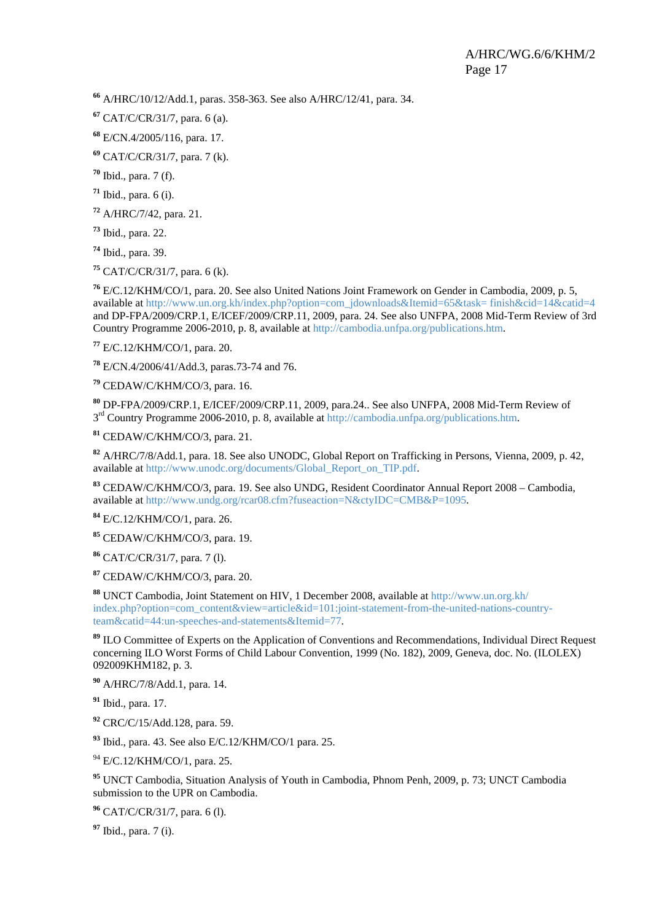A/HRC/10/12/Add.1, paras. 358-363. See also A/HRC/12/41, para. 34.

CAT/C/CR/31/7, para. 6 (a).

E/CN.4/2005/116, para. 17.

CAT/C/CR/31/7, para. 7 (k).

Ibid., para. 7 (f).

Ibid., para. 6 (i).

A/HRC/7/42, para. 21.

Ibid., para. 22.

Ibid., para. 39.

CAT/C/CR/31/7, para. 6 (k).

 E/C.12/KHM/CO/1, para. 20. See also United Nations Joint Framework on Gender in Cambodia, 2009, p. 5, available at http://www.un.org.kh/index.php?option=com\_jdownloads&Itemid=65&task= finish&cid=14&catid=4 and DP-FPA/2009/CRP.1, E/ICEF/2009/CRP.11, 2009, para. 24. See also UNFPA, 2008 Mid-Term Review of 3rd Country Programme 2006-2010, p. 8, available at http://cambodia.unfpa.org/publications.htm.

E/C.12/KHM/CO/1, para. 20.

E/CN.4/2006/41/Add.3, paras.73-74 and 76.

CEDAW/C/KHM/CO/3, para. 16.

 DP-FPA/2009/CRP.1, E/ICEF/2009/CRP.11, 2009, para.24.. See also UNFPA, 2008 Mid-Term Review of rd Country Programme 2006-2010, p. 8, available at http://cambodia.unfpa.org/publications.htm.

CEDAW/C/KHM/CO/3, para. 21.

 A/HRC/7/8/Add.1, para. 18. See also UNODC, Global Report on Trafficking in Persons, Vienna, 2009, p. 42, available at http://www.unodc.org/documents/Global\_Report\_on\_TIP.pdf.

 CEDAW/C/KHM/CO/3, para. 19. See also UNDG, Resident Coordinator Annual Report 2008 – Cambodia, available at http://www.undg.org/rcar08.cfm?fuseaction=N&ctyIDC=CMB&P=1095.

E/C.12/KHM/CO/1, para. 26.

CEDAW/C/KHM/CO/3, para. 19.

CAT/C/CR/31/7, para. 7 (l).

CEDAW/C/KHM/CO/3, para. 20.

 UNCT Cambodia, Joint Statement on HIV, 1 December 2008, available at http://www.un.org.kh/ index.php?option=com\_content&view=article&id=101:joint-statement-from-the-united-nations-countryteam&catid=44:un-speeches-and-statements&Itemid=77.

 ILO Committee of Experts on the Application of Conventions and Recommendations, Individual Direct Request concerning ILO Worst Forms of Child Labour Convention, 1999 (No. 182), 2009, Geneva, doc. No. (ILOLEX) 092009KHM182, p. 3.

A/HRC/7/8/Add.1, para. 14.

Ibid., para. 17.

CRC/C/15/Add.128, para. 59.

Ibid., para. 43. See also E/C.12/KHM/CO/1 para. 25.

94 E/C.12/KHM/CO/1, para. 25.

 UNCT Cambodia, Situation Analysis of Youth in Cambodia, Phnom Penh, 2009, p. 73; UNCT Cambodia submission to the UPR on Cambodia.

CAT/C/CR/31/7, para. 6 (l).

Ibid., para. 7 (i).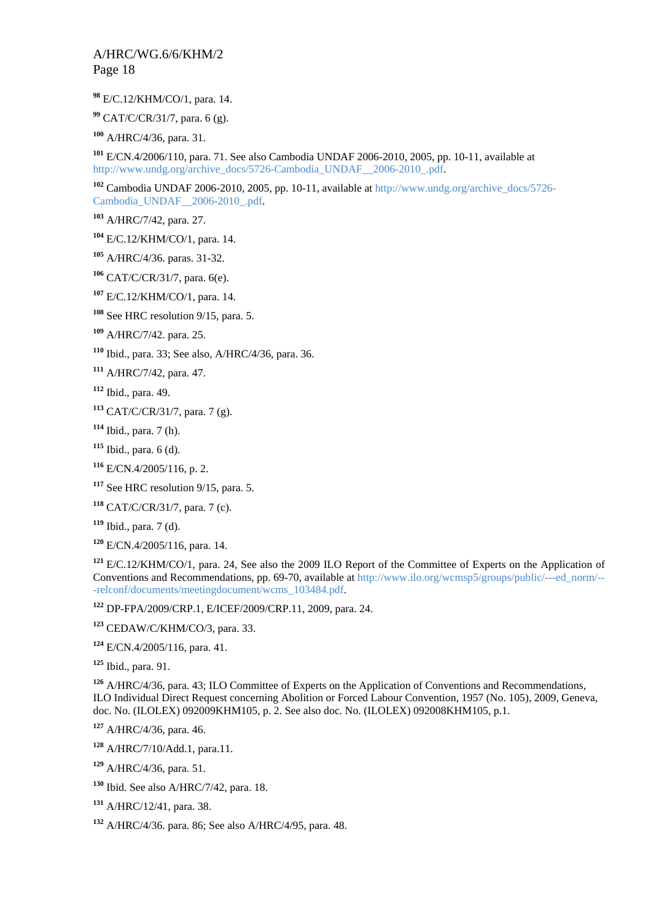E/C.12/KHM/CO/1, para. 14.

CAT/C/CR/31/7, para. 6 (g).

A/HRC/4/36, para. 31.

 E/CN.4/2006/110, para. 71. See also Cambodia UNDAF 2006-2010, 2005, pp. 10-11, available at http://www.undg.org/archive\_docs/5726-Cambodia\_UNDAF\_\_2006-2010\_.pdf.

 Cambodia UNDAF 2006-2010, 2005, pp. 10-11, available at http://www.undg.org/archive\_docs/5726- Cambodia\_UNDAF\_\_2006-2010\_.pdf.

A/HRC/7/42, para. 27.

E/C.12/KHM/CO/1, para. 14.

A/HRC/4/36. paras. 31-32.

CAT/C/CR/31/7, para. 6(e).

E/C.12/KHM/CO/1, para. 14.

See HRC resolution 9/15, para. 5.

A/HRC/7/42. para. 25.

Ibid., para. 33; See also, A/HRC/4/36, para. 36.

A/HRC/7/42, para. 47.

Ibid., para. 49.

CAT/C/CR/31/7, para. 7 (g).

Ibid., para. 7 (h).

Ibid., para. 6 (d).

E/CN.4/2005/116, p. 2.

See HRC resolution 9/15, para. 5.

CAT/C/CR/31/7, para. 7 (c).

Ibid., para. 7 (d).

E/CN.4/2005/116, para. 14.

 E/C.12/KHM/CO/1, para. 24, See also the 2009 ILO Report of the Committee of Experts on the Application of Conventions and Recommendations, pp. 69-70, available at http://www.ilo.org/wcmsp5/groups/public/---ed\_norm/-- -relconf/documents/meetingdocument/wcms\_103484.pdf.

DP-FPA/2009/CRP.1, E/ICEF/2009/CRP.11, 2009, para. 24.

CEDAW/C/KHM/CO/3, para. 33.

E/CN.4/2005/116, para. 41.

Ibid., para. 91.

 A/HRC/4/36, para. 43; ILO Committee of Experts on the Application of Conventions and Recommendations, ILO Individual Direct Request concerning Abolition or Forced Labour Convention, 1957 (No. 105), 2009, Geneva, doc. No. (ILOLEX) 092009KHM105, p. 2. See also doc. No. (ILOLEX) 092008KHM105, p.1.

A/HRC/4/36, para. 46.

A/HRC/7/10/Add.1, para.11.

A/HRC/4/36, para. 51.

Ibid. See also A/HRC/7/42, para. 18.

A/HRC/12/41, para. 38.

A/HRC/4/36. para. 86; See also A/HRC/4/95, para. 48.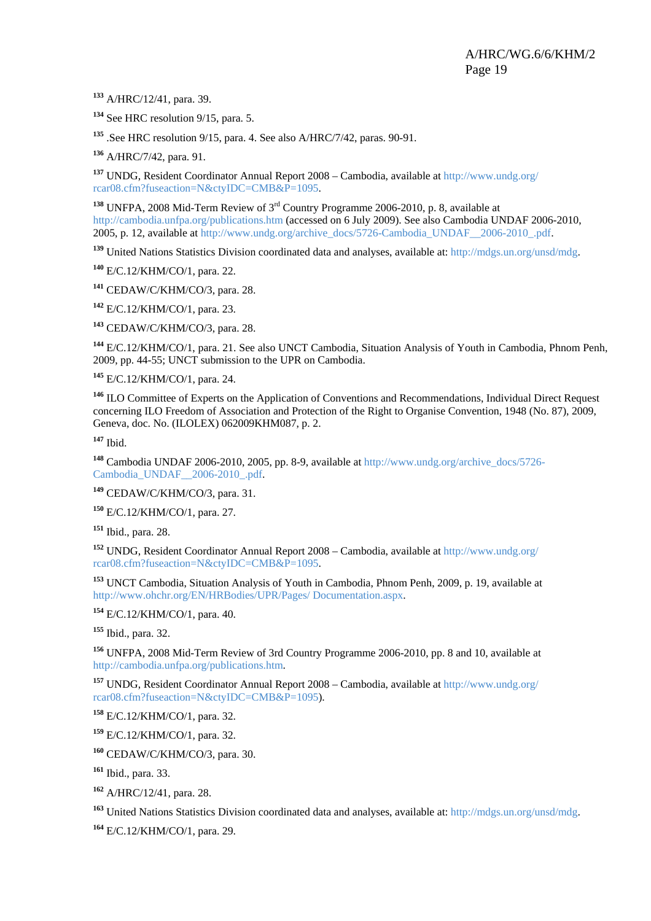A/HRC/12/41, para. 39.

See HRC resolution 9/15, para. 5.

.See HRC resolution 9/15, para. 4. See also A/HRC/7/42, paras. 90-91.

A/HRC/7/42, para. 91.

 UNDG, Resident Coordinator Annual Report 2008 – Cambodia, available at http://www.undg.org/ rcar08.cfm?fuseaction=N&ctyIDC=CMB&P=1095.

 UNFPA, 2008 Mid-Term Review of 3rd Country Programme 2006-2010, p. 8, available at http://cambodia.unfpa.org/publications.htm (accessed on 6 July 2009). See also Cambodia UNDAF 2006-2010, 2005, p. 12, available at http://www.undg.org/archive\_docs/5726-Cambodia\_UNDAF\_\_2006-2010\_.pdf.

United Nations Statistics Division coordinated data and analyses, available at: http://mdgs.un.org/unsd/mdg.

E/C.12/KHM/CO/1, para. 22.

CEDAW/C/KHM/CO/3, para. 28.

E/C.12/KHM/CO/1, para. 23.

CEDAW/C/KHM/CO/3, para. 28.

 E/C.12/KHM/CO/1, para. 21. See also UNCT Cambodia, Situation Analysis of Youth in Cambodia, Phnom Penh, 2009, pp. 44-55; UNCT submission to the UPR on Cambodia.

E/C.12/KHM/CO/1, para. 24.

 ILO Committee of Experts on the Application of Conventions and Recommendations, Individual Direct Request concerning ILO Freedom of Association and Protection of the Right to Organise Convention, 1948 (No. 87), 2009, Geneva, doc. No. (ILOLEX) 062009KHM087, p. 2.

Ibid.

 Cambodia UNDAF 2006-2010, 2005, pp. 8-9, available at http://www.undg.org/archive\_docs/5726- Cambodia\_UNDAF\_\_2006-2010\_.pdf.

CEDAW/C/KHM/CO/3, para. 31.

E/C.12/KHM/CO/1, para. 27.

Ibid., para. 28.

 UNDG, Resident Coordinator Annual Report 2008 – Cambodia, available at http://www.undg.org/ rcar08.cfm?fuseaction=N&ctyIDC=CMB&P=1095.

 UNCT Cambodia, Situation Analysis of Youth in Cambodia, Phnom Penh, 2009, p. 19, available at http://www.ohchr.org/EN/HRBodies/UPR/Pages/ Documentation.aspx.

E/C.12/KHM/CO/1, para. 40.

Ibid., para. 32.

 UNFPA, 2008 Mid-Term Review of 3rd Country Programme 2006-2010, pp. 8 and 10, available at http://cambodia.unfpa.org/publications.htm.

 UNDG, Resident Coordinator Annual Report 2008 – Cambodia, available at http://www.undg.org/ rcar08.cfm?fuseaction=N&ctyIDC=CMB&P=1095).

E/C.12/KHM/CO/1, para. 32.

E/C.12/KHM/CO/1, para. 32.

CEDAW/C/KHM/CO/3, para. 30.

Ibid., para. 33.

A/HRC/12/41, para. 28.

United Nations Statistics Division coordinated data and analyses, available at: http://mdgs.un.org/unsd/mdg.

E/C.12/KHM/CO/1, para. 29.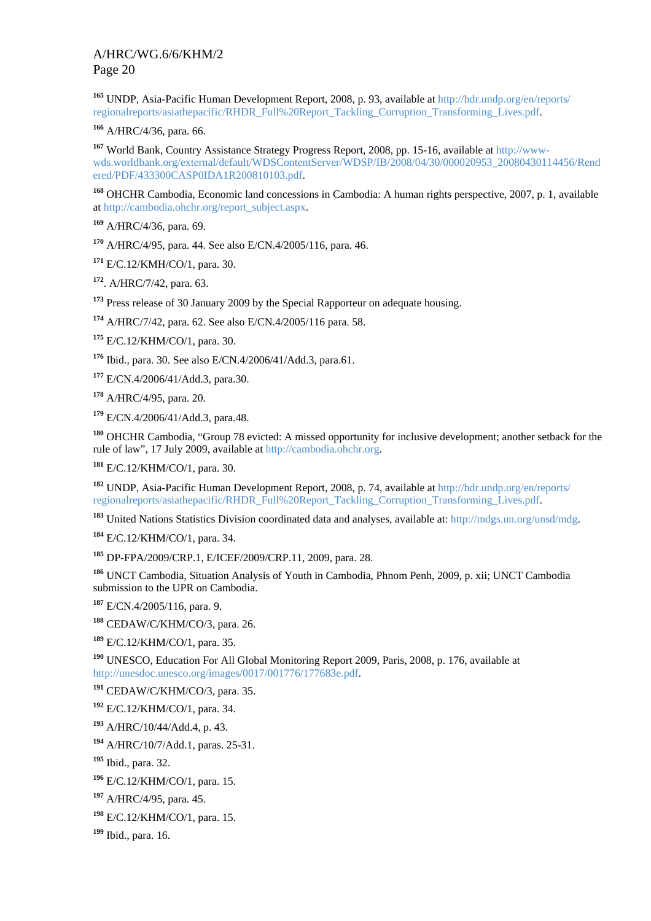UNDP, Asia-Pacific Human Development Report, 2008, p. 93, available at http://hdr.undp.org/en/reports/ regionalreports/asiathepacific/RHDR\_Full%20Report\_Tackling\_Corruption\_Transforming\_Lives.pdf.

A/HRC/4/36, para. 66.

 World Bank, Country Assistance Strategy Progress Report, 2008, pp. 15-16, available at http://wwwwds.worldbank.org/external/default/WDSContentServer/WDSP/IB/2008/04/30/000020953\_20080430114456/Rend ered/PDF/433300CASP0IDA1R200810103.pdf.

 OHCHR Cambodia, Economic land concessions in Cambodia: A human rights perspective, 2007, p. 1, available at http://cambodia.ohchr.org/report\_subject.aspx.

A/HRC/4/36, para. 69.

A/HRC/4/95, para. 44. See also E/CN.4/2005/116, para. 46.

E/C.12/KMH/CO/1, para. 30.

. A/HRC/7/42, para. 63.

Press release of 30 January 2009 by the Special Rapporteur on adequate housing.

A/HRC/7/42, para. 62. See also E/CN.4/2005/116 para. 58.

E/C.12/KHM/CO/1, para. 30.

Ibid., para. 30. See also E/CN.4/2006/41/Add.3, para.61.

E/CN.4/2006/41/Add.3, para.30.

A/HRC/4/95, para. 20.

E/CN.4/2006/41/Add.3, para.48.

 OHCHR Cambodia, "Group 78 evicted: A missed opportunity for inclusive development; another setback for the rule of law", 17 July 2009, available at http://cambodia.ohchr.org.

E/C.12/KHM/CO/1, para. 30.

 UNDP, Asia-Pacific Human Development Report, 2008, p. 74, available at http://hdr.undp.org/en/reports/ regionalreports/asiathepacific/RHDR\_Full%20Report\_Tackling\_Corruption\_Transforming\_Lives.pdf.

United Nations Statistics Division coordinated data and analyses, available at: http://mdgs.un.org/unsd/mdg.

E/C.12/KHM/CO/1, para. 34.

DP-FPA/2009/CRP.1, E/ICEF/2009/CRP.11, 2009, para. 28.

 UNCT Cambodia, Situation Analysis of Youth in Cambodia, Phnom Penh, 2009, p. xii; UNCT Cambodia submission to the UPR on Cambodia.

E/CN.4/2005/116, para. 9.

CEDAW/C/KHM/CO/3, para. 26.

E/C.12/KHM/CO/1, para. 35.

 UNESCO, Education For All Global Monitoring Report 2009, Paris, 2008, p. 176, available at http://unesdoc.unesco.org/images/0017/001776/177683e.pdf.

CEDAW/C/KHM/CO/3, para. 35.

E/C.12/KHM/CO/1, para. 34.

A/HRC/10/44/Add.4, p. 43.

A/HRC/10/7/Add.1, paras. 25-31.

Ibid., para. 32.

E/C.12/KHM/CO/1, para. 15.

A/HRC/4/95, para. 45.

E/C.12/KHM/CO/1, para. 15.

Ibid., para. 16.